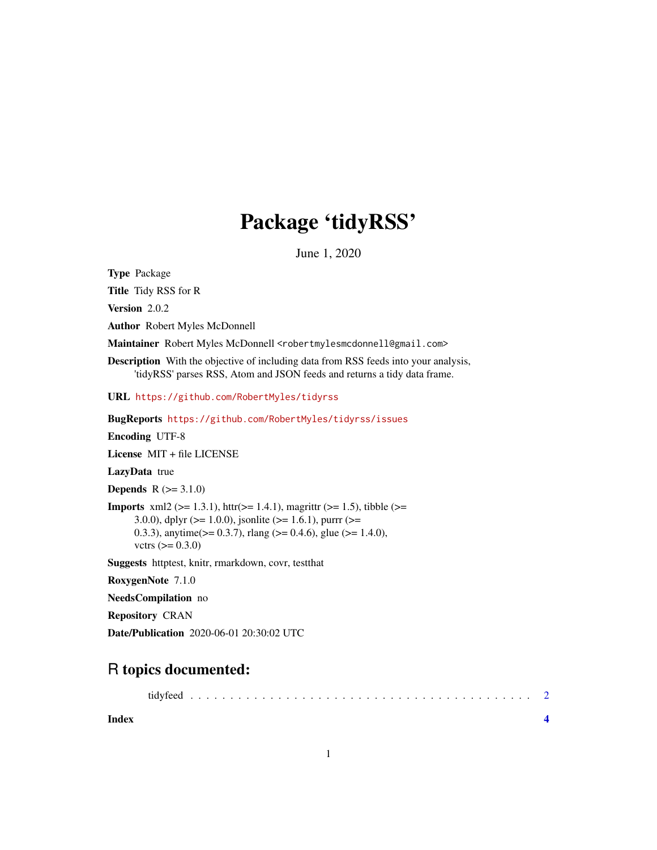## Package 'tidyRSS'

June 1, 2020

<span id="page-0-0"></span>Type Package

Title Tidy RSS for R

Version 2.0.2

Author Robert Myles McDonnell

Maintainer Robert Myles McDonnell <robertmylesmcdonnell@gmail.com>

Description With the objective of including data from RSS feeds into your analysis, 'tidyRSS' parses RSS, Atom and JSON feeds and returns a tidy data frame.

URL <https://github.com/RobertMyles/tidyrss>

BugReports <https://github.com/RobertMyles/tidyrss/issues>

Encoding UTF-8

License MIT + file LICENSE

LazyData true

**Depends**  $R (=3.1.0)$ 

**Imports** xml2 ( $>= 1.3.1$ ), httr( $>= 1.4.1$ ), magrittr ( $>= 1.5$ ), tibble ( $>= 1.5$ ) 3.0.0), dplyr ( $>= 1.0.0$ ), jsonlite ( $>= 1.6.1$ ), purrr ( $>= 1.6$ 0.3.3), anytime( $> = 0.3.7$ ), rlang ( $> = 0.4.6$ ), glue ( $> = 1.4.0$ ), vctrs  $(>= 0.3.0)$ 

Suggests httptest, knitr, rmarkdown, covr, testthat

RoxygenNote 7.1.0

NeedsCompilation no

Repository CRAN

Date/Publication 2020-06-01 20:30:02 UTC

### R topics documented:

**Index** [4](#page-3-0)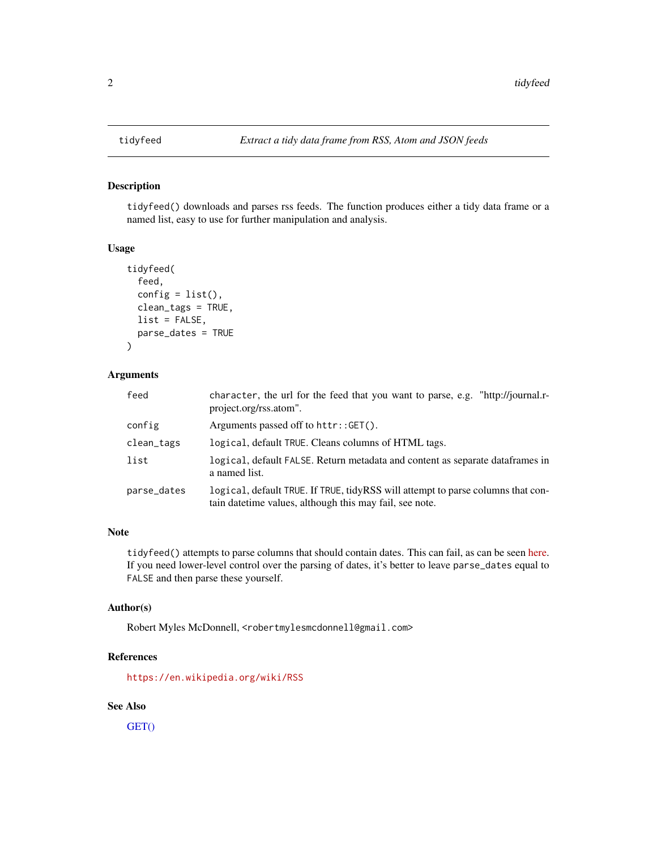#### Description

tidyfeed() downloads and parses rss feeds. The function produces either a tidy data frame or a named list, easy to use for further manipulation and analysis.

#### Usage

```
tidyfeed(
  feed,
  config = list(),clean_tags = TRUE,
 list = FALSE,
 parse_dates = TRUE
)
```
#### Arguments

| feed        | character, the url for the feed that you want to parse, e.g. "http://journal.r-<br>project.org/rss.atom".                                   |
|-------------|---------------------------------------------------------------------------------------------------------------------------------------------|
| config      | Arguments passed off to httr::GET().                                                                                                        |
| clean_tags  | logical, default TRUE. Cleans columns of HTML tags.                                                                                         |
| list        | logical, default FALSE. Return metadata and content as separate data frames in<br>a named list.                                             |
| parse_dates | logical, default TRUE. If TRUE, tidyRSS will attempt to parse columns that con-<br>tain date time values, although this may fail, see note. |

#### Note

tidyfeed() attempts to parse columns that should contain dates. This can fail, as can be seen [here.](https://github.com/RobertMyles/tidyRSS/issues/37) If you need lower-level control over the parsing of dates, it's better to leave parse\_dates equal to FALSE and then parse these yourself.

#### Author(s)

Robert Myles McDonnell, <robertmylesmcdonnell@gmail.com>

#### References

<https://en.wikipedia.org/wiki/RSS>

#### See Also

[GET\(\)](#page-0-0)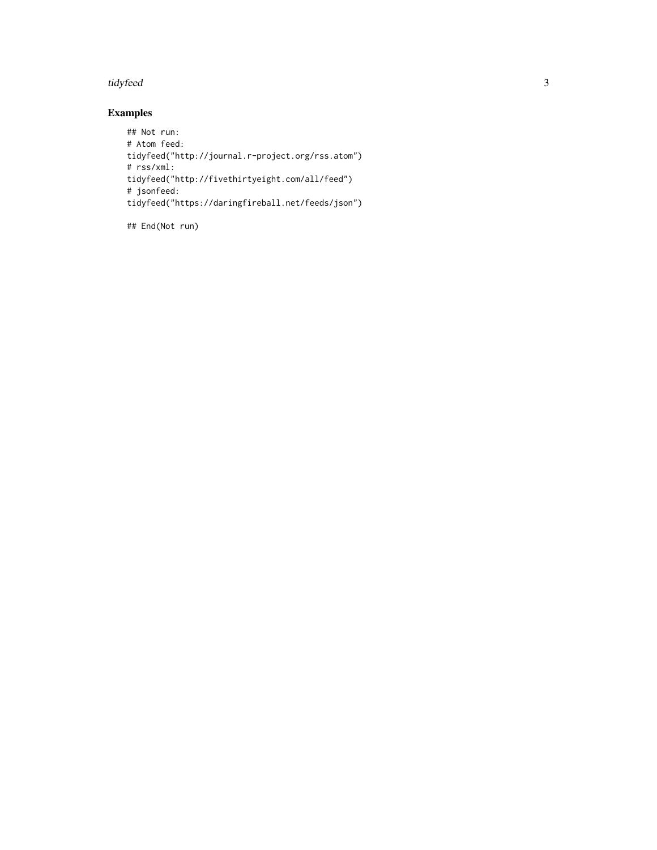#### tidyfeed 3

#### Examples

## Not run: # Atom feed: tidyfeed("http://journal.r-project.org/rss.atom") # rss/xml: tidyfeed("http://fivethirtyeight.com/all/feed") # jsonfeed: tidyfeed("https://daringfireball.net/feeds/json")

## End(Not run)